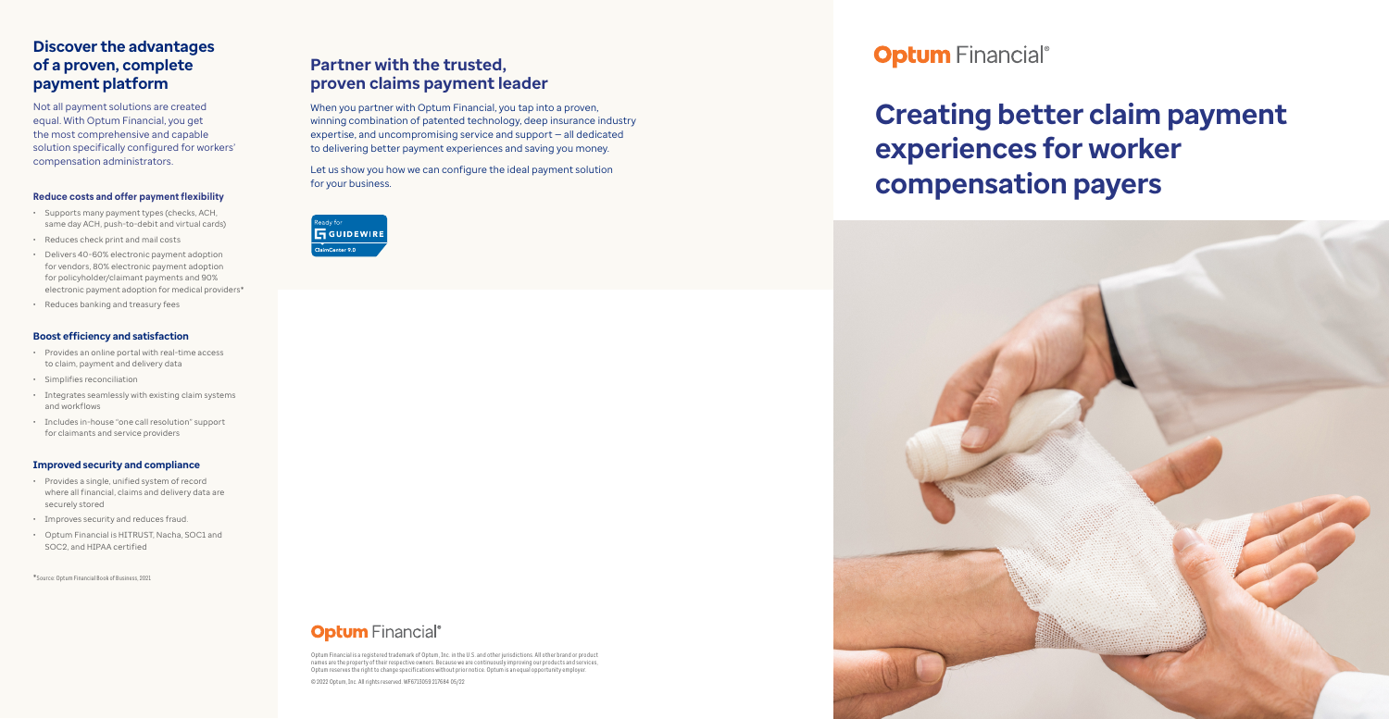#### **Reduce costs and offer payment flexibility**

- Supports many payment types (checks, ACH, same day ACH, push-to-debit and virtual cards)
- Reduces check print and mail costs
- Delivers 40-60% electronic payment adoption for vendors, 80% electronic payment adoption for policyholder/claimant payments and 90% electronic payment adoption for medical providers\*
- Reduces banking and treasury fees

#### **Boost efficiency and satisfaction**

- Provides an online portal with real-time access to claim, payment and delivery data
- Simplifies reconciliation
- Integrates seamlessly with existing claim systems and workflows
- Includes in-house "one call resolution" support for claimants and service providers

#### **Improved security and compliance**

- Provides a single, unified system of record where all financial, claims and delivery data are securely stored
- Improves security and reduces fraud.
- Optum Financial is HITRUST, Nacha, SOC1 and SOC2, and HIPAA certified

\*Source: Optum Financial Book of Business, 2021

# **Discover the advantages of a proven, complete payment platform**

Not all payment solutions are created equal. With Optum Financial, you get the most comprehensive and capable solution specifically configured for workers' compensation administrators.

# **Creating better claim payment experiences for worker compensation payers**



## **Partner with the trusted, proven claims payment leader**

When you partner with Optum Financial, you tap into a proven, winning combination of patented technology, deep insurance industry expertise, and uncompromising service and support — all dedicated to delivering better payment experiences and saving you money.

Let us show you how we can configure the ideal payment solution for your business.



# **Optum** Financial®

Optum Financial is a registered trademark of Optum, Inc. in the U.S. and other jurisdictions. All other brand or product names are the property of their respective owners. Because we are continuously improving our products and services, Optum reserves the right to change specifications without prior notice. Optum is an equal opportunity employer.

© 2022 Optum, Inc. All rights reserved. WF6713059 217684 05/22

**Optum** Financial®